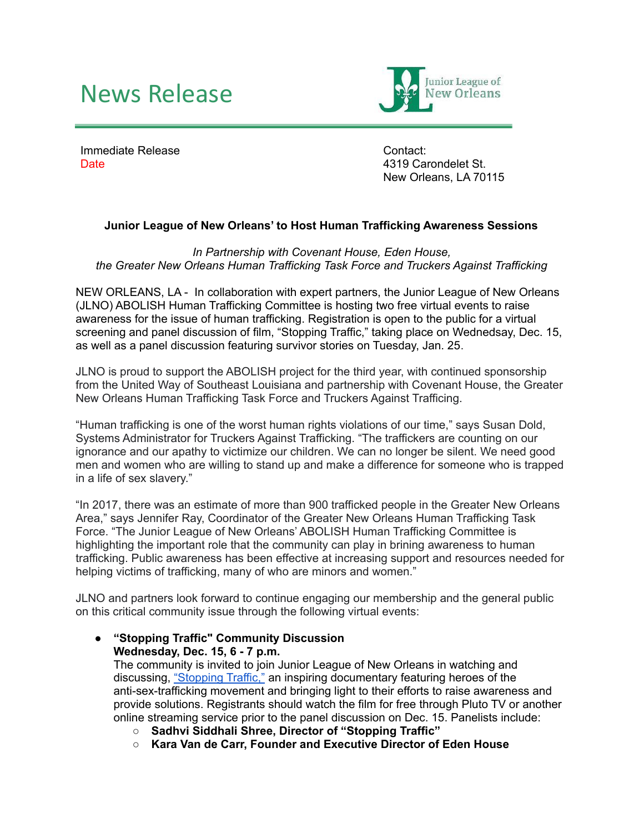## News Release



Immediate Release Date

Contact: 4319 Carondelet St. New Orleans, LA 70115

## **Junior League of New Orleans' to Host Human Trafficking Awareness Sessions**

*In Partnership with Covenant House, Eden House, the Greater New Orleans Human Trafficking Task Force and Truckers Against Trafficking*

NEW ORLEANS, LA - In collaboration with expert partners, the Junior League of New Orleans (JLNO) ABOLISH Human Trafficking Committee is hosting two free virtual events to raise awareness for the issue of human trafficking. Registration is open to the public for a virtual screening and panel discussion of film, "Stopping Traffic," taking place on Wednedsay, Dec. 15, as well as a panel discussion featuring survivor stories on Tuesday, Jan. 25.

JLNO is proud to support the ABOLISH project for the third year, with continued sponsorship from the United Way of Southeast Louisiana and partnership with Covenant House, the Greater New Orleans Human Trafficking Task Force and Truckers Against Trafficing.

"Human trafficking is one of the worst human rights violations of our time," says Susan Dold, Systems Administrator for Truckers Against Trafficking. "The traffickers are counting on our ignorance and our apathy to victimize our children. We can no longer be silent. We need good men and women who are willing to stand up and make a difference for someone who is trapped in a life of sex slavery."

"In 2017, there was an estimate of more than 900 trafficked people in the Greater New Orleans Area," says Jennifer Ray, Coordinator of the Greater New Orleans Human Trafficking Task Force. "The Junior League of New Orleans' ABOLISH Human Trafficking Committee is highlighting the important role that the community can play in brining awareness to human trafficking. Public awareness has been effective at increasing support and resources needed for helping victims of trafficking, many of who are minors and women."

JLNO and partners look forward to continue engaging our membership and the general public on this critical community issue through the following virtual events:

**● "Stopping Traffic" Community Discussion Wednesday, Dec. 15, 6 - 7 p.m.**

The community is invited to join Junior League of New Orleans in watching and discussing, ["Stopping](https://stoppingtrafficfilm.com/) Traffic," an inspiring documentary featuring heroes of the anti-sex-trafficking movement and bringing light to their efforts to raise awareness and provide solutions. Registrants should watch the film for free through Pluto TV or another online streaming service prior to the panel discussion on Dec. 15. Panelists include:

- **Sadhvi Siddhali Shree, Director of "Stopping Traffic"**
- **Kara Van de Carr, Founder and Executive Director of Eden House**